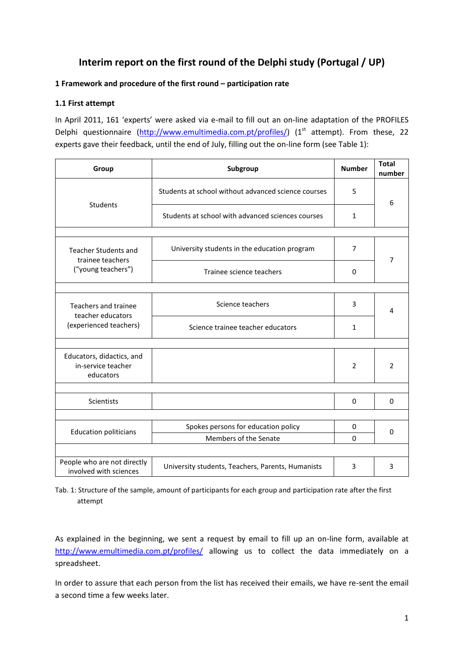# **Interim report on the first round of the Delphi study (Portugal / UP)**

# **1 Framework and procedure of the first round – participation rate**

# **1.1 First attempt**

In April 2011, 161 'experts' were asked via e-mail to fill out an on-line adaptation of the PROFILES Delphi questionnaire [\(http://www.emultimedia.com.pt/profiles/\)](http://www.emultimedia.com.pt/profiles/) (1<sup>st</sup> attempt). From these, 22 experts gave their feedback, until the end of July, filling out the on-line form (see Table 1):

| Group                                                        | Subgroup                                            |                |                |  |  |  |  |
|--------------------------------------------------------------|-----------------------------------------------------|----------------|----------------|--|--|--|--|
|                                                              | Students at school without advanced science courses | 5              | 6              |  |  |  |  |
| Students                                                     | Students at school with advanced sciences courses   | 1              |                |  |  |  |  |
|                                                              |                                                     |                |                |  |  |  |  |
| <b>Teacher Students and</b><br>trainee teachers              | University students in the education program        | 7              | 7              |  |  |  |  |
| ("young teachers")                                           | Trainee science teachers                            | $\Omega$       |                |  |  |  |  |
|                                                              |                                                     |                |                |  |  |  |  |
| Teachers and trainee<br>teacher educators                    | Science teachers                                    | 3              | 4              |  |  |  |  |
| (experienced teachers)                                       | Science trainee teacher educators                   | $\mathbf{1}$   |                |  |  |  |  |
|                                                              |                                                     |                |                |  |  |  |  |
| Educators, didactics, and<br>in-service teacher<br>educators |                                                     | $\overline{2}$ | $\overline{2}$ |  |  |  |  |
|                                                              |                                                     |                |                |  |  |  |  |
| <b>Scientists</b>                                            |                                                     | $\Omega$       | $\Omega$       |  |  |  |  |
|                                                              |                                                     |                |                |  |  |  |  |
| <b>Education politicians</b>                                 | Spokes persons for education policy                 | 0              | $\Omega$       |  |  |  |  |
|                                                              | Members of the Senate                               | $\Omega$       |                |  |  |  |  |
|                                                              |                                                     |                |                |  |  |  |  |
| People who are not directly<br>involved with sciences        | University students, Teachers, Parents, Humanists   | 3              | 3              |  |  |  |  |

Tab. 1: Structure of the sample, amount of participants for each group and participation rate after the first attempt

As explained in the beginning, we sent a request by email to fill up an on-line form, available at <http://www.emultimedia.com.pt/profiles/> allowing us to collect the data immediately on a spreadsheet.

In order to assure that each person from the list has received their emails, we have re-sent the email a second time a few weeks later.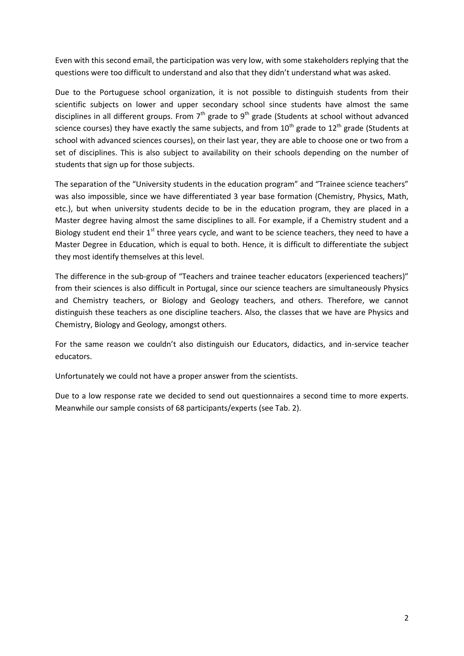Even with this second email, the participation was very low, with some stakeholders replying that the questions were too difficult to understand and also that they didn't understand what was asked.

Due to the Portuguese school organization, it is not possible to distinguish students from their scientific subjects on lower and upper secondary school since students have almost the same disciplines in all different groups. From  $7<sup>th</sup>$  grade to  $9<sup>th</sup>$  grade (Students at school without advanced science courses) they have exactly the same subjects, and from  $10^{th}$  grade to  $12^{th}$  grade (Students at school with advanced sciences courses), on their last year, they are able to choose one or two from a set of disciplines. This is also subject to availability on their schools depending on the number of students that sign up for those subjects.

The separation of the "University students in the education program" and "Trainee science teachers" was also impossible, since we have differentiated 3 year base formation (Chemistry, Physics, Math, etc.), but when university students decide to be in the education program, they are placed in a Master degree having almost the same disciplines to all. For example, if a Chemistry student and a Biology student end their  $1<sup>st</sup>$  three years cycle, and want to be science teachers, they need to have a Master Degree in Education, which is equal to both. Hence, it is difficult to differentiate the subject they most identify themselves at this level.

The difference in the sub-group of "Teachers and trainee teacher educators (experienced teachers)" from their sciences is also difficult in Portugal, since our science teachers are simultaneously Physics and Chemistry teachers, or Biology and Geology teachers, and others. Therefore, we cannot distinguish these teachers as one discipline teachers. Also, the classes that we have are Physics and Chemistry, Biology and Geology, amongst others.

For the same reason we couldn't also distinguish our Educators, didactics, and in-service teacher educators.

Unfortunately we could not have a proper answer from the scientists.

Due to a low response rate we decided to send out questionnaires a second time to more experts. Meanwhile our sample consists of 68 participants/experts (see Tab. 2).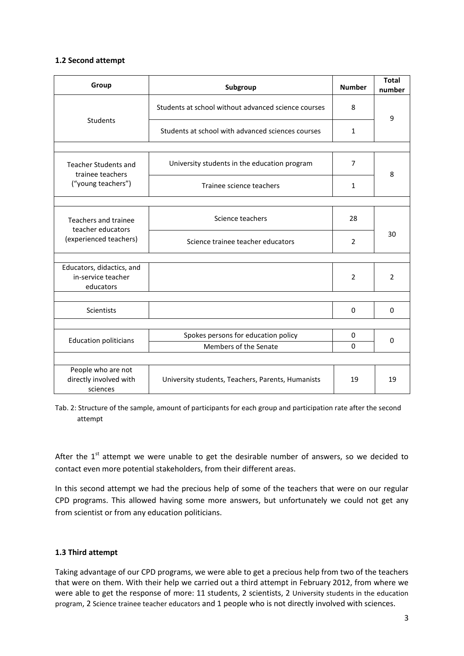## **1.2 Second attempt**

| Group                                                               | Subgroup                                            | <b>Number</b>  | <b>Total</b><br>number |
|---------------------------------------------------------------------|-----------------------------------------------------|----------------|------------------------|
|                                                                     | Students at school without advanced science courses | 8              | 9                      |
| Students                                                            | Students at school with advanced sciences courses   | $\mathbf{1}$   |                        |
|                                                                     |                                                     |                |                        |
| <b>Teacher Students and</b><br>trainee teachers                     | University students in the education program        | $\overline{7}$ | 8                      |
| ("young teachers")                                                  | Trainee science teachers                            | $\mathbf{1}$   |                        |
|                                                                     |                                                     |                |                        |
| Teachers and trainee<br>teacher educators<br>(experienced teachers) | Science teachers                                    | 28             |                        |
|                                                                     | Science trainee teacher educators                   | $\overline{2}$ | 30                     |
|                                                                     |                                                     |                |                        |
| Educators, didactics, and<br>in-service teacher<br>educators        |                                                     | 2              | 2                      |
|                                                                     |                                                     |                |                        |
| <b>Scientists</b>                                                   |                                                     | $\Omega$       | 0                      |
|                                                                     |                                                     |                |                        |
| <b>Education politicians</b>                                        | Spokes persons for education policy                 | 0              | $\Omega$               |
|                                                                     | Members of the Senate                               | $\Omega$       |                        |
|                                                                     |                                                     |                |                        |
| People who are not<br>directly involved with<br>sciences            | University students, Teachers, Parents, Humanists   | 19             | 19                     |

Tab. 2: Structure of the sample, amount of participants for each group and participation rate after the second attempt

After the  $1<sup>st</sup>$  attempt we were unable to get the desirable number of answers, so we decided to contact even more potential stakeholders, from their different areas.

In this second attempt we had the precious help of some of the teachers that were on our regular CPD programs. This allowed having some more answers, but unfortunately we could not get any from scientist or from any education politicians.

# **1.3 Third attempt**

Taking advantage of our CPD programs, we were able to get a precious help from two of the teachers that were on them. With their help we carried out a third attempt in February 2012, from where we were able to get the response of more: 11 students, 2 scientists, 2 University students in the education program, 2 Science trainee teacher educators and 1 people who is not directly involved with sciences.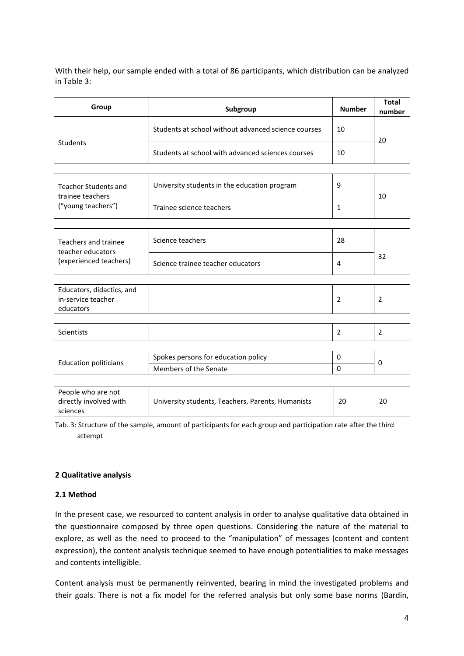With their help, our sample ended with a total of 86 participants, which distribution can be analyzed in Table 3:

| Group                                                               | Subgroup                                            | <b>Number</b>  | <b>Total</b><br>number |  |
|---------------------------------------------------------------------|-----------------------------------------------------|----------------|------------------------|--|
|                                                                     | Students at school without advanced science courses | 10             |                        |  |
| <b>Students</b>                                                     | Students at school with advanced sciences courses   | 10             | 20                     |  |
|                                                                     |                                                     |                |                        |  |
| <b>Teacher Students and</b><br>trainee teachers                     | University students in the education program        | 9              | 10                     |  |
| ("young teachers")                                                  | Trainee science teachers                            | $\mathbf{1}$   |                        |  |
|                                                                     |                                                     |                |                        |  |
| Teachers and trainee<br>teacher educators<br>(experienced teachers) | Science teachers                                    | 28             | 32                     |  |
|                                                                     | Science trainee teacher educators                   | 4              |                        |  |
|                                                                     |                                                     |                |                        |  |
| Educators, didactics, and<br>in-service teacher<br>educators        |                                                     | $\overline{2}$ | 2                      |  |
|                                                                     |                                                     |                |                        |  |
| <b>Scientists</b>                                                   |                                                     | $\overline{2}$ | $\overline{2}$         |  |
|                                                                     |                                                     |                |                        |  |
| <b>Education politicians</b>                                        | Spokes persons for education policy                 | $\Omega$       | $\Omega$               |  |
|                                                                     | Members of the Senate                               | $\Omega$       |                        |  |
|                                                                     |                                                     |                |                        |  |
| People who are not<br>directly involved with<br>sciences            | University students, Teachers, Parents, Humanists   | 20             | 20                     |  |

Tab. 3: Structure of the sample, amount of participants for each group and participation rate after the third attempt

## **2 Qualitative analysis**

## **2.1 Method**

In the present case, we resourced to content analysis in order to analyse qualitative data obtained in the questionnaire composed by three open questions. Considering the nature of the material to explore, as well as the need to proceed to the "manipulation" of messages (content and content expression), the content analysis technique seemed to have enough potentialities to make messages and contents intelligible.

Content analysis must be permanently reinvented, bearing in mind the investigated problems and their goals. There is not a fix model for the referred analysis but only some base norms (Bardin,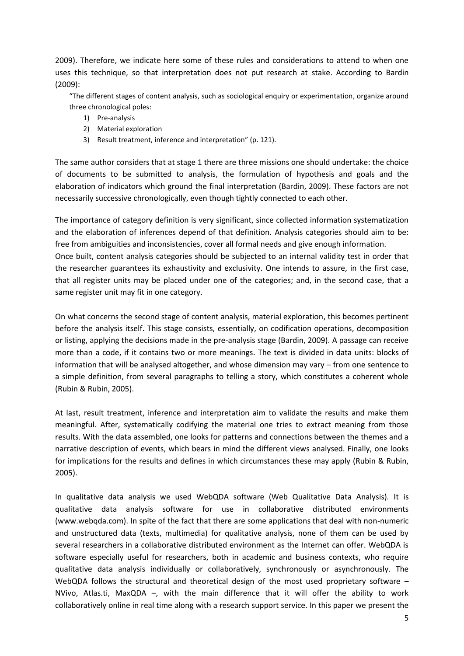2009). Therefore, we indicate here some of these rules and considerations to attend to when one uses this technique, so that interpretation does not put research at stake. According to Bardin (2009):

"The different stages of content analysis, such as sociological enquiry or experimentation, organize around three chronological poles:

- 1) Pre-analysis
- 2) Material exploration
- 3) Result treatment, inference and interpretation" (p. 121).

The same author considers that at stage 1 there are three missions one should undertake: the choice of documents to be submitted to analysis, the formulation of hypothesis and goals and the elaboration of indicators which ground the final interpretation (Bardin, 2009). These factors are not necessarily successive chronologically, even though tightly connected to each other.

The importance of category definition is very significant, since collected information systematization and the elaboration of inferences depend of that definition. Analysis categories should aim to be: free from ambiguities and inconsistencies, cover all formal needs and give enough information. Once built, content analysis categories should be subjected to an internal validity test in order that the researcher guarantees its exhaustivity and exclusivity. One intends to assure, in the first case, that all register units may be placed under one of the categories; and, in the second case, that a same register unit may fit in one category.

On what concerns the second stage of content analysis, material exploration, this becomes pertinent before the analysis itself. This stage consists, essentially, on codification operations, decomposition or listing, applying the decisions made in the pre-analysis stage (Bardin, 2009). A passage can receive more than a code, if it contains two or more meanings. The text is divided in data units: blocks of information that will be analysed altogether, and whose dimension may vary – from one sentence to a simple definition, from several paragraphs to telling a story, which constitutes a coherent whole (Rubin & Rubin, 2005).

At last, result treatment, inference and interpretation aim to validate the results and make them meaningful. After, systematically codifying the material one tries to extract meaning from those results. With the data assembled, one looks for patterns and connections between the themes and a narrative description of events, which bears in mind the different views analysed. Finally, one looks for implications for the results and defines in which circumstances these may apply (Rubin & Rubin, 2005).

In qualitative data analysis we used WebQDA software (Web Qualitative Data Analysis). It is qualitative data analysis software for use in collaborative distributed environments (www.webqda.com). In spite of the fact that there are some applications that deal with non-numeric and unstructured data (texts, multimedia) for qualitative analysis, none of them can be used by several researchers in a collaborative distributed environment as the Internet can offer. WebQDA is software especially useful for researchers, both in academic and business contexts, who require qualitative data analysis individually or collaboratively, synchronously or asynchronously. The WebQDA follows the structural and theoretical design of the most used proprietary software – NVivo, Atlas.ti, MaxQDA –, with the main difference that it will offer the ability to work collaboratively online in real time along with a research support service. In this paper we present the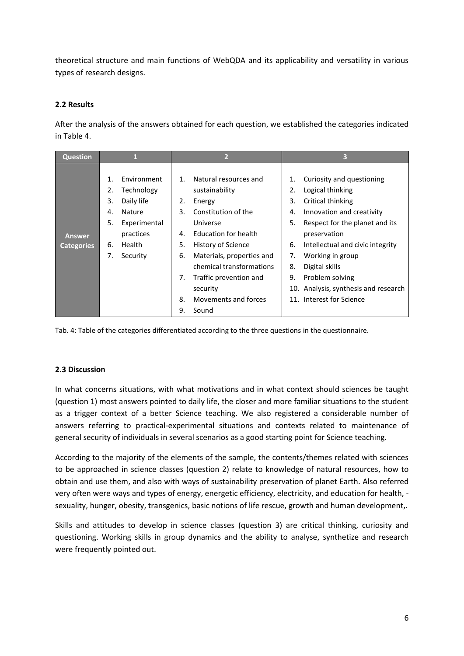theoretical structure and main functions of WebQDA and its applicability and versatility in various types of research designs.

# **2.2 Results**

After the analysis of the answers obtained for each question, we established the categories indicated in Table 4.

| <b>Question</b>                    |                                                 |                                                                                                             | $\overline{2}$                                                                 |                                                                                                                                                                                                                                                                    | 3                                                  |                                                                                                                                                                                                                                                                                                                    |  |  |
|------------------------------------|-------------------------------------------------|-------------------------------------------------------------------------------------------------------------|--------------------------------------------------------------------------------|--------------------------------------------------------------------------------------------------------------------------------------------------------------------------------------------------------------------------------------------------------------------|----------------------------------------------------|--------------------------------------------------------------------------------------------------------------------------------------------------------------------------------------------------------------------------------------------------------------------------------------------------------------------|--|--|
| <b>Answer</b><br><b>Categories</b> | $\mathbf 1$<br>2.<br>3.<br>4.<br>5.<br>6.<br>7. | Environment<br>Technology<br>Daily life<br><b>Nature</b><br>Experimental<br>practices<br>Health<br>Security | $\mathbf{1}$<br>2.<br>3.<br>$\mathbf{A}_{\cdot}$<br>5.<br>6.<br>7.<br>8.<br>9. | Natural resources and<br>sustainability<br>Energy<br>Constitution of the<br>Universe<br>Education for health<br>History of Science<br>Materials, properties and<br>chemical transformations<br>Traffic prevention and<br>security<br>Movements and forces<br>Sound | 1.<br>2.<br>3.<br>4.<br>5.<br>6.<br>7.<br>8.<br>9. | Curiosity and questioning<br>Logical thinking<br>Critical thinking<br>Innovation and creativity<br>Respect for the planet and its<br>preservation<br>Intellectual and civic integrity<br>Working in group<br>Digital skills<br>Problem solving<br>10. Analysis, synthesis and research<br>11. Interest for Science |  |  |

Tab. 4: Table of the categories differentiated according to the three questions in the questionnaire.

# **2.3 Discussion**

In what concerns situations, with what motivations and in what context should sciences be taught (question 1) most answers pointed to daily life, the closer and more familiar situations to the student as a trigger context of a better Science teaching. We also registered a considerable number of answers referring to practical-experimental situations and contexts related to maintenance of general security of individuals in several scenarios as a good starting point for Science teaching.

According to the majority of the elements of the sample, the contents/themes related with sciences to be approached in science classes (question 2) relate to knowledge of natural resources, how to obtain and use them, and also with ways of sustainability preservation of planet Earth. Also referred very often were ways and types of energy, energetic efficiency, electricity, and education for health, sexuality, hunger, obesity, transgenics, basic notions of life rescue, growth and human development,.

Skills and attitudes to develop in science classes (question 3) are critical thinking, curiosity and questioning. Working skills in group dynamics and the ability to analyse, synthetize and research were frequently pointed out.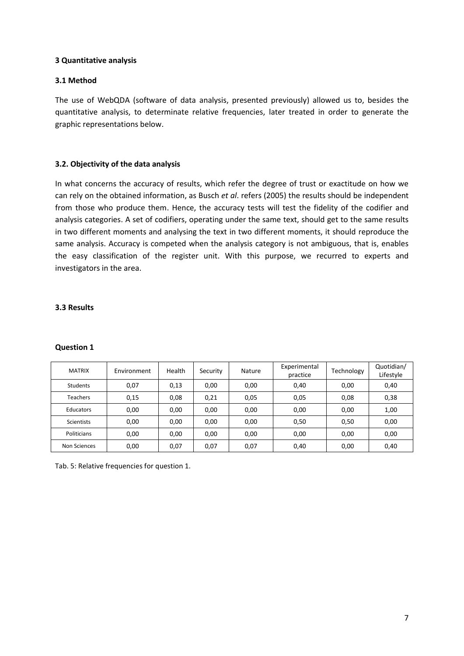## **3 Quantitative analysis**

## **3.1 Method**

The use of WebQDA (software of data analysis, presented previously) allowed us to, besides the quantitative analysis, to determinate relative frequencies, later treated in order to generate the graphic representations below.

## **3.2. Objectivity of the data analysis**

In what concerns the accuracy of results, which refer the degree of trust or exactitude on how we can rely on the obtained information, as Busch *et al*. refers (2005) the results should be independent from those who produce them. Hence, the accuracy tests will test the fidelity of the codifier and analysis categories. A set of codifiers, operating under the same text, should get to the same results in two different moments and analysing the text in two different moments, it should reproduce the same analysis. Accuracy is competed when the analysis category is not ambiguous, that is, enables the easy classification of the register unit. With this purpose, we recurred to experts and investigators in the area.

## **3.3 Results**

| <b>Question 1</b> |  |
|-------------------|--|
|-------------------|--|

| <b>MATRIX</b>     | Environment | Health | Security | Nature | Experimental<br>practice | Technology | Quotidian/<br>Lifestyle |
|-------------------|-------------|--------|----------|--------|--------------------------|------------|-------------------------|
| <b>Students</b>   | 0,07        | 0,13   | 0,00     | 0,00   | 0,40                     | 0,00       | 0,40                    |
| <b>Teachers</b>   | 0,15        | 0,08   | 0,21     | 0,05   | 0,05                     | 0,08       | 0,38                    |
| Educators         | 0,00        | 0,00   | 0,00     | 0,00   | 0,00                     | 0,00       | 1,00                    |
| <b>Scientists</b> | 0.00        | 0,00   | 0,00     | 0,00   | 0,50                     | 0,50       | 0,00                    |
| Politicians       | 0,00        | 0,00   | 0,00     | 0,00   | 0,00                     | 0,00       | 0,00                    |
| Non Sciences      | 0,00        | 0,07   | 0,07     | 0,07   | 0,40                     | 0,00       | 0,40                    |

Tab. 5: Relative frequencies for question 1.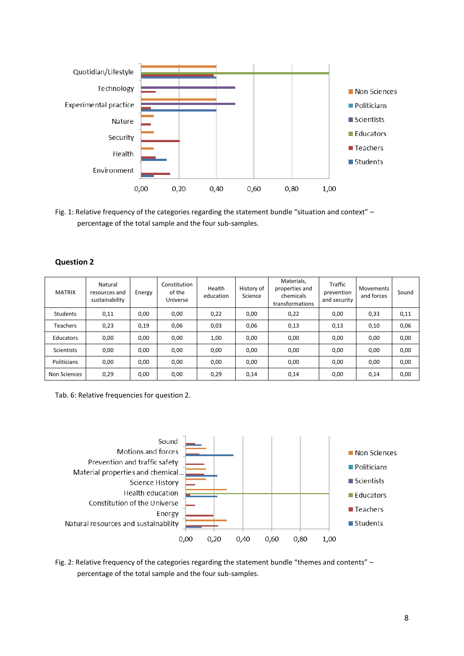

Fig. 1: Relative frequency of the categories regarding the statement bundle "situation and context" – percentage of the total sample and the four sub-samples.

| <b>Question 2</b> |  |
|-------------------|--|
|-------------------|--|

| <b>MATRIX</b>     | Natural<br>resources and<br>sustainability | Energy | Constitution<br>of the<br>Universe | Health<br>education | History of<br>Science | Materials.<br>properties and<br>chemicals<br>transformations | Traffic<br>prevention<br>and security | Movements<br>and forces | Sound |
|-------------------|--------------------------------------------|--------|------------------------------------|---------------------|-----------------------|--------------------------------------------------------------|---------------------------------------|-------------------------|-------|
| Students          | 0,11                                       | 0,00   | 0,00                               | 0,22                | 0,00                  | 0,22                                                         | 0,00                                  | 0,33                    | 0,11  |
| <b>Teachers</b>   | 0,23                                       | 0,19   | 0,06                               | 0,03                | 0,06                  | 0,13                                                         | 0,13                                  | 0,10                    | 0,06  |
| Educators         | 0,00                                       | 0,00   | 0,00                               | 1,00                | 0,00                  | 0,00                                                         | 0,00                                  | 0,00                    | 0,00  |
| <b>Scientists</b> | 0,00                                       | 0,00   | 0,00                               | 0,00                | 0,00                  | 0,00                                                         | 0,00                                  | 0,00                    | 0,00  |
| Politicians       | 0,00                                       | 0,00   | 0,00                               | 0,00                | 0,00                  | 0,00                                                         | 0,00                                  | 0,00                    | 0,00  |
| Non Sciences      | 0,29                                       | 0,00   | 0,00                               | 0,29                | 0,14                  | 0,14                                                         | 0,00                                  | 0,14                    | 0,00  |

Tab. 6: Relative frequencies for question 2.



Fig. 2: Relative frequency of the categories regarding the statement bundle "themes and contents" – percentage of the total sample and the four sub-samples.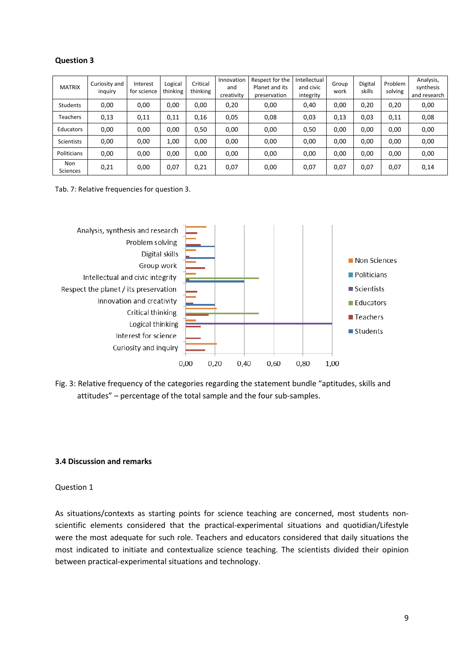# **Question 3**

| <b>MATRIX</b>   | Curiosity and<br>inguiry | Interest<br>for science | Logical<br>thinking | Critical<br>thinking | Innovation<br>and<br>creativity | Respect for the<br>Planet and its<br>preservation | Intellectual<br>and civic<br>integrity | Group<br>work | Digital<br>skills | Problem<br>solving | Analysis,<br>synthesis<br>and research |
|-----------------|--------------------------|-------------------------|---------------------|----------------------|---------------------------------|---------------------------------------------------|----------------------------------------|---------------|-------------------|--------------------|----------------------------------------|
| Students        | 0,00                     | 0,00                    | 0,00                | 0,00                 | 0,20                            | 0,00                                              | 0,40                                   | 0,00          | 0,20              | 0,20               | 0,00                                   |
| <b>Teachers</b> | 0,13                     | 0,11                    | 0,11                | 0,16                 | 0,05                            | 0,08                                              | 0,03                                   | 0,13          | 0,03              | 0,11               | 0,08                                   |
| Educators       | 0,00                     | 0,00                    | 0,00                | 0,50                 | 0,00                            | 0,00                                              | 0,50                                   | 0,00          | 0,00              | 0,00               | 0,00                                   |
| Scientists      | 0,00                     | 0,00                    | 1,00                | 0,00                 | 0,00                            | 0,00                                              | 0,00                                   | 0,00          | 0,00              | 0,00               | 0,00                                   |
| Politicians     | 0,00                     | 0,00                    | 0,00                | 0,00                 | 0,00                            | 0,00                                              | 0,00                                   | 0,00          | 0,00              | 0,00               | 0,00                                   |
| Non<br>Sciences | 0,21                     | 0,00                    | 0,07                | 0,21                 | 0,07                            | 0,00                                              | 0,07                                   | 0,07          | 0,07              | 0,07               | 0,14                                   |

Tab. 7: Relative frequencies for question 3.



Fig. 3: Relative frequency of the categories regarding the statement bundle "aptitudes, skills and attitudes" – percentage of the total sample and the four sub-samples.

## **3.4 Discussion and remarks**

## Question 1

As situations/contexts as starting points for science teaching are concerned, most students nonscientific elements considered that the practical-experimental situations and quotidian/Lifestyle were the most adequate for such role. Teachers and educators considered that daily situations the most indicated to initiate and contextualize science teaching. The scientists divided their opinion between practical-experimental situations and technology.